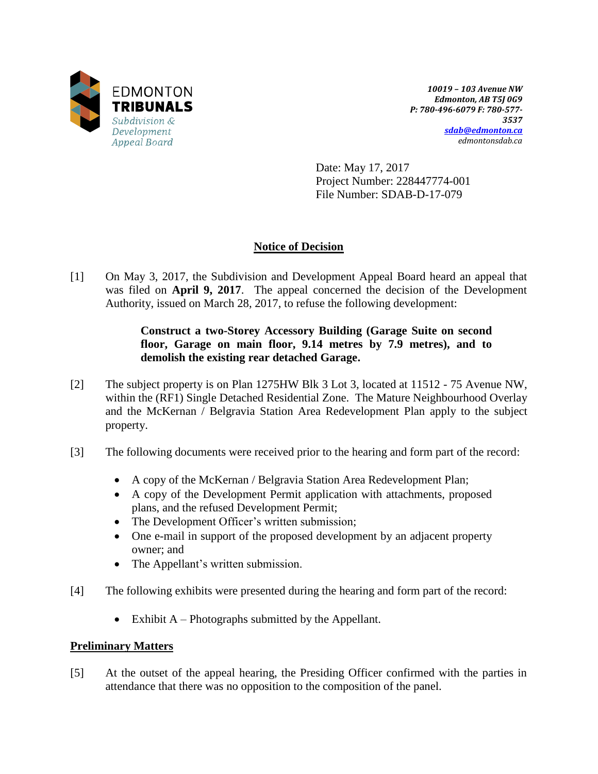

*10019 – 103 Avenue NW Edmonton, AB T5J 0G9 P: 780-496-6079 F: 780-577- 3537 [sdab@edmonton.ca](mailto:sdab@edmonton.ca) edmontonsdab.ca*

Date: May 17, 2017 Project Number: 228447774-001 File Number: SDAB-D-17-079

# **Notice of Decision**

[1] On May 3, 2017, the Subdivision and Development Appeal Board heard an appeal that was filed on **April 9, 2017**. The appeal concerned the decision of the Development Authority, issued on March 28, 2017, to refuse the following development:

## **Construct a two-Storey Accessory Building (Garage Suite on second floor, Garage on main floor, 9.14 metres by 7.9 metres), and to demolish the existing rear detached Garage.**

- [2] The subject property is on Plan 1275HW Blk 3 Lot 3, located at 11512 75 Avenue NW, within the (RF1) Single Detached Residential Zone. The Mature Neighbourhood Overlay and the McKernan / Belgravia Station Area Redevelopment Plan apply to the subject property.
- [3] The following documents were received prior to the hearing and form part of the record:
	- A copy of the McKernan / Belgravia Station Area Redevelopment Plan;
	- A copy of the Development Permit application with attachments, proposed plans, and the refused Development Permit;
	- The Development Officer's written submission;
	- One e-mail in support of the proposed development by an adjacent property owner; and
	- The Appellant's written submission.
- [4] The following exhibits were presented during the hearing and form part of the record:
	- Exhibit  $A$  Photographs submitted by the Appellant.

## **Preliminary Matters**

[5] At the outset of the appeal hearing, the Presiding Officer confirmed with the parties in attendance that there was no opposition to the composition of the panel.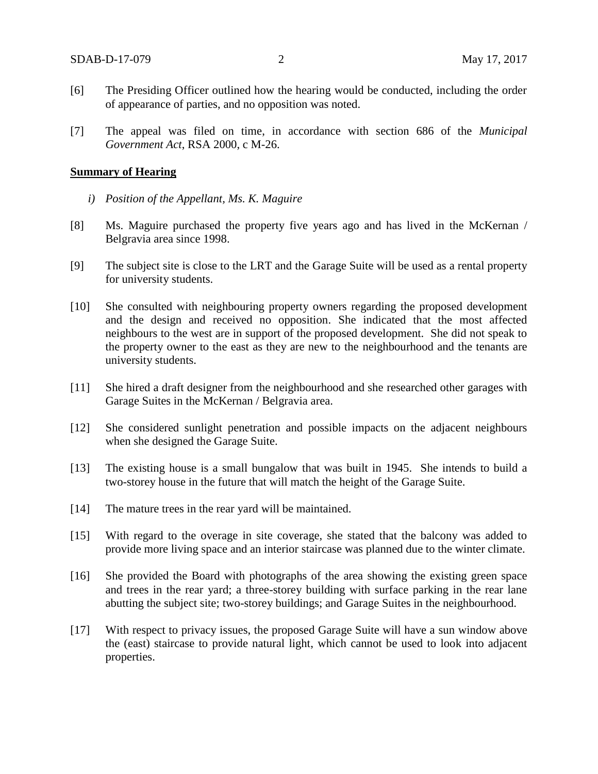- [6] The Presiding Officer outlined how the hearing would be conducted, including the order of appearance of parties, and no opposition was noted.
- [7] The appeal was filed on time, in accordance with section 686 of the *Municipal Government Act*, RSA 2000, c M-26.

## **Summary of Hearing**

- *i) Position of the Appellant, Ms. K. Maguire*
- [8] Ms. Maguire purchased the property five years ago and has lived in the McKernan / Belgravia area since 1998.
- [9] The subject site is close to the LRT and the Garage Suite will be used as a rental property for university students.
- [10] She consulted with neighbouring property owners regarding the proposed development and the design and received no opposition. She indicated that the most affected neighbours to the west are in support of the proposed development. She did not speak to the property owner to the east as they are new to the neighbourhood and the tenants are university students.
- [11] She hired a draft designer from the neighbourhood and she researched other garages with Garage Suites in the McKernan / Belgravia area.
- [12] She considered sunlight penetration and possible impacts on the adjacent neighbours when she designed the Garage Suite.
- [13] The existing house is a small bungalow that was built in 1945. She intends to build a two-storey house in the future that will match the height of the Garage Suite.
- [14] The mature trees in the rear yard will be maintained.
- [15] With regard to the overage in site coverage, she stated that the balcony was added to provide more living space and an interior staircase was planned due to the winter climate.
- [16] She provided the Board with photographs of the area showing the existing green space and trees in the rear yard; a three-storey building with surface parking in the rear lane abutting the subject site; two-storey buildings; and Garage Suites in the neighbourhood.
- [17] With respect to privacy issues, the proposed Garage Suite will have a sun window above the (east) staircase to provide natural light, which cannot be used to look into adjacent properties.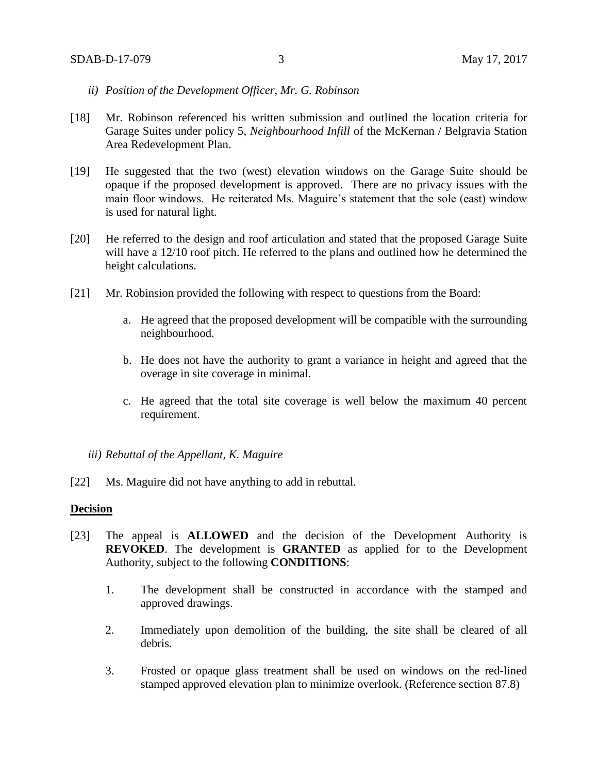- *ii) Position of the Development Officer, Mr. G. Robinson*
- [18] Mr. Robinson referenced his written submission and outlined the location criteria for Garage Suites under policy 5, *Neighbourhood Infill* of the McKernan / Belgravia Station Area Redevelopment Plan.
- [19] He suggested that the two (west) elevation windows on the Garage Suite should be opaque if the proposed development is approved. There are no privacy issues with the main floor windows. He reiterated Ms. Maguire's statement that the sole (east) window is used for natural light.
- [20] He referred to the design and roof articulation and stated that the proposed Garage Suite will have a 12/10 roof pitch. He referred to the plans and outlined how he determined the height calculations.
- [21] Mr. Robinsion provided the following with respect to questions from the Board:
	- a. He agreed that the proposed development will be compatible with the surrounding neighbourhood.
	- b. He does not have the authority to grant a variance in height and agreed that the overage in site coverage in minimal.
	- c. He agreed that the total site coverage is well below the maximum 40 percent requirement.

*iii) Rebuttal of the Appellant, K. Maguire* 

[22] Ms. Maguire did not have anything to add in rebuttal.

#### **Decision**

- [23] The appeal is **ALLOWED** and the decision of the Development Authority is **REVOKED**. The development is **GRANTED** as applied for to the Development Authority, subject to the following **CONDITIONS**:
	- 1. The development shall be constructed in accordance with the stamped and approved drawings.
	- 2. Immediately upon demolition of the building, the site shall be cleared of all debris.
	- 3. Frosted or opaque glass treatment shall be used on windows on the red-lined stamped approved elevation plan to minimize overlook. (Reference section 87.8)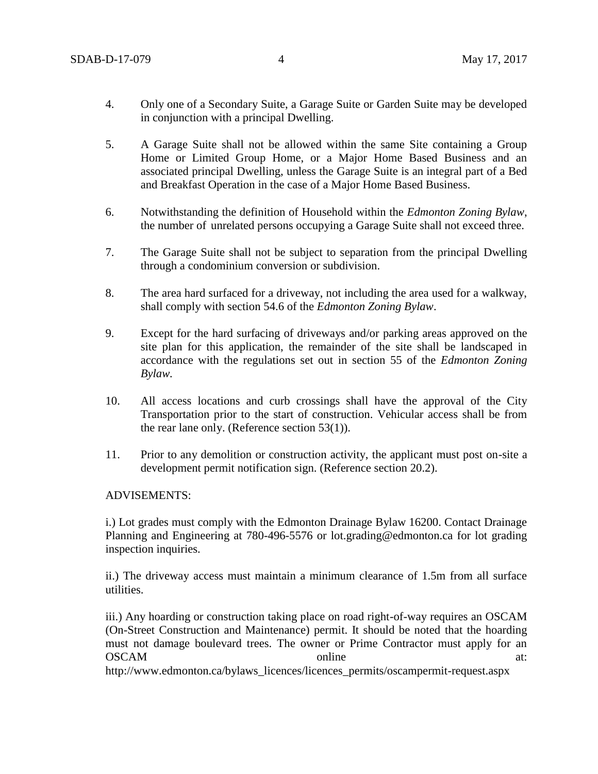- 4. Only one of a Secondary Suite, a Garage Suite or Garden Suite may be developed in conjunction with a principal Dwelling.
- 5. A Garage Suite shall not be allowed within the same Site containing a Group Home or Limited Group Home, or a Major Home Based Business and an associated principal Dwelling, unless the Garage Suite is an integral part of a Bed and Breakfast Operation in the case of a Major Home Based Business.
- 6. Notwithstanding the definition of Household within the *Edmonton Zoning Bylaw*, the number of unrelated persons occupying a Garage Suite shall not exceed three.
- 7. The Garage Suite shall not be subject to separation from the principal Dwelling through a condominium conversion or subdivision.
- 8. The area hard surfaced for a driveway, not including the area used for a walkway, shall comply with section 54.6 of the *Edmonton Zoning Bylaw*.
- 9. Except for the hard surfacing of driveways and/or parking areas approved on the site plan for this application, the remainder of the site shall be landscaped in accordance with the regulations set out in section 55 of the *Edmonton Zoning Bylaw.*
- 10. All access locations and curb crossings shall have the approval of the City Transportation prior to the start of construction. Vehicular access shall be from the rear lane only. (Reference section 53(1)).
- 11. Prior to any demolition or construction activity, the applicant must post on-site a development permit notification sign. (Reference section 20.2).

## ADVISEMENTS:

i.) Lot grades must comply with the Edmonton Drainage Bylaw 16200. Contact Drainage Planning and Engineering at 780-496-5576 or lot.grading@edmonton.ca for lot grading inspection inquiries.

ii.) The driveway access must maintain a minimum clearance of 1.5m from all surface utilities.

iii.) Any hoarding or construction taking place on road right-of-way requires an OSCAM (On-Street Construction and Maintenance) permit. It should be noted that the hoarding must not damage boulevard trees. The owner or Prime Contractor must apply for an OSCAM online at:

http://www.edmonton.ca/bylaws\_licences/licences\_permits/oscampermit-request.aspx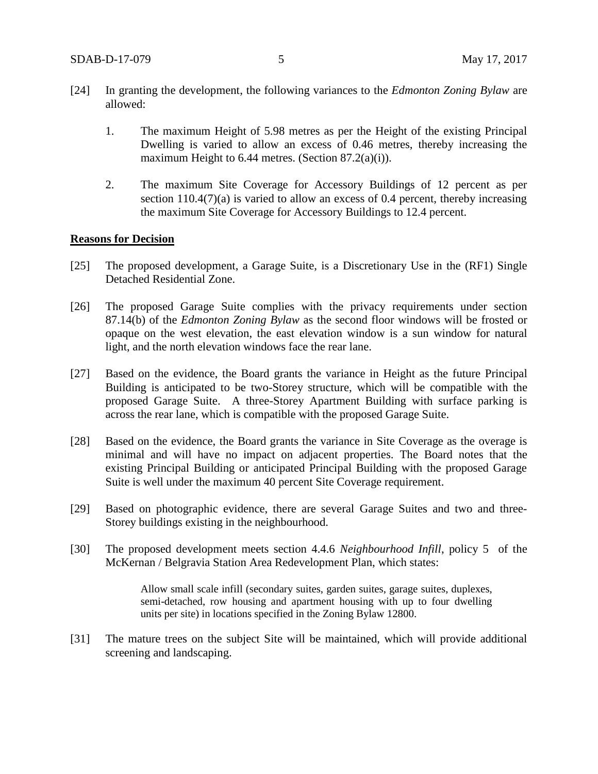- [24] In granting the development, the following variances to the *Edmonton Zoning Bylaw* are allowed:
	- 1. The maximum Height of 5.98 metres as per the Height of the existing Principal Dwelling is varied to allow an excess of 0.46 metres, thereby increasing the maximum Height to 6.44 metres. (Section 87.2(a)(i)).
	- 2. The maximum Site Coverage for Accessory Buildings of 12 percent as per section 110.4(7)(a) is varied to allow an excess of 0.4 percent, thereby increasing the maximum Site Coverage for Accessory Buildings to 12.4 percent.

### **Reasons for Decision**

- [25] The proposed development, a Garage Suite, is a Discretionary Use in the (RF1) Single Detached Residential Zone.
- [26] The proposed Garage Suite complies with the privacy requirements under section 87.14(b) of the *Edmonton Zoning Bylaw* as the second floor windows will be frosted or opaque on the west elevation, the east elevation window is a sun window for natural light, and the north elevation windows face the rear lane.
- [27] Based on the evidence, the Board grants the variance in Height as the future Principal Building is anticipated to be two-Storey structure, which will be compatible with the proposed Garage Suite. A three-Storey Apartment Building with surface parking is across the rear lane, which is compatible with the proposed Garage Suite.
- [28] Based on the evidence, the Board grants the variance in Site Coverage as the overage is minimal and will have no impact on adjacent properties. The Board notes that the existing Principal Building or anticipated Principal Building with the proposed Garage Suite is well under the maximum 40 percent Site Coverage requirement.
- [29] Based on photographic evidence, there are several Garage Suites and two and three-Storey buildings existing in the neighbourhood.
- [30] The proposed development meets section 4.4.6 *Neighbourhood Infill*, policy 5 of the McKernan / Belgravia Station Area Redevelopment Plan, which states:

Allow small scale infill (secondary suites, garden suites, garage suites, duplexes, semi-detached, row housing and apartment housing with up to four dwelling units per site) in locations specified in the Zoning Bylaw 12800.

[31] The mature trees on the subject Site will be maintained, which will provide additional screening and landscaping.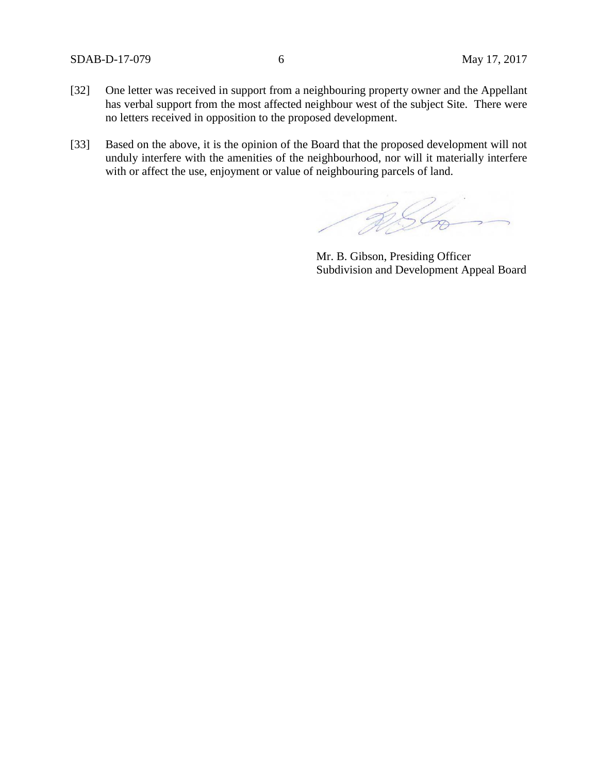## SDAB-D-17-079 6 May 17, 2017

- [32] One letter was received in support from a neighbouring property owner and the Appellant has verbal support from the most affected neighbour west of the subject Site. There were no letters received in opposition to the proposed development.
- [33] Based on the above, it is the opinion of the Board that the proposed development will not unduly interfere with the amenities of the neighbourhood, nor will it materially interfere with or affect the use, enjoyment or value of neighbouring parcels of land.

RIG

Mr. B. Gibson, Presiding Officer Subdivision and Development Appeal Board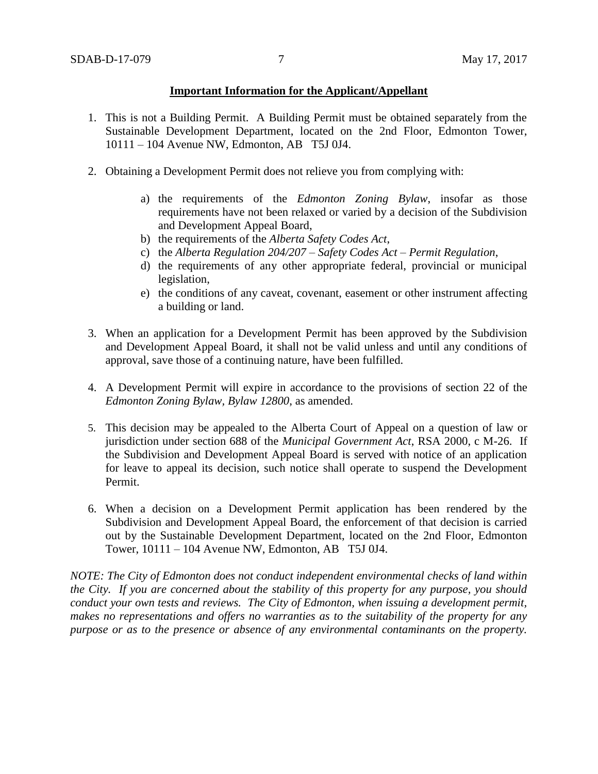## **Important Information for the Applicant/Appellant**

- 1. This is not a Building Permit. A Building Permit must be obtained separately from the Sustainable Development Department, located on the 2nd Floor, Edmonton Tower, 10111 – 104 Avenue NW, Edmonton, AB T5J 0J4.
- 2. Obtaining a Development Permit does not relieve you from complying with:
	- a) the requirements of the *Edmonton Zoning Bylaw*, insofar as those requirements have not been relaxed or varied by a decision of the Subdivision and Development Appeal Board,
	- b) the requirements of the *Alberta Safety Codes Act*,
	- c) the *Alberta Regulation 204/207 – Safety Codes Act – Permit Regulation*,
	- d) the requirements of any other appropriate federal, provincial or municipal legislation,
	- e) the conditions of any caveat, covenant, easement or other instrument affecting a building or land.
- 3. When an application for a Development Permit has been approved by the Subdivision and Development Appeal Board, it shall not be valid unless and until any conditions of approval, save those of a continuing nature, have been fulfilled.
- 4. A Development Permit will expire in accordance to the provisions of section 22 of the *Edmonton Zoning Bylaw, Bylaw 12800*, as amended.
- 5. This decision may be appealed to the Alberta Court of Appeal on a question of law or jurisdiction under section 688 of the *Municipal Government Act*, RSA 2000, c M-26. If the Subdivision and Development Appeal Board is served with notice of an application for leave to appeal its decision, such notice shall operate to suspend the Development Permit.
- 6. When a decision on a Development Permit application has been rendered by the Subdivision and Development Appeal Board, the enforcement of that decision is carried out by the Sustainable Development Department, located on the 2nd Floor, Edmonton Tower, 10111 – 104 Avenue NW, Edmonton, AB T5J 0J4.

*NOTE: The City of Edmonton does not conduct independent environmental checks of land within the City. If you are concerned about the stability of this property for any purpose, you should conduct your own tests and reviews. The City of Edmonton, when issuing a development permit, makes no representations and offers no warranties as to the suitability of the property for any purpose or as to the presence or absence of any environmental contaminants on the property.*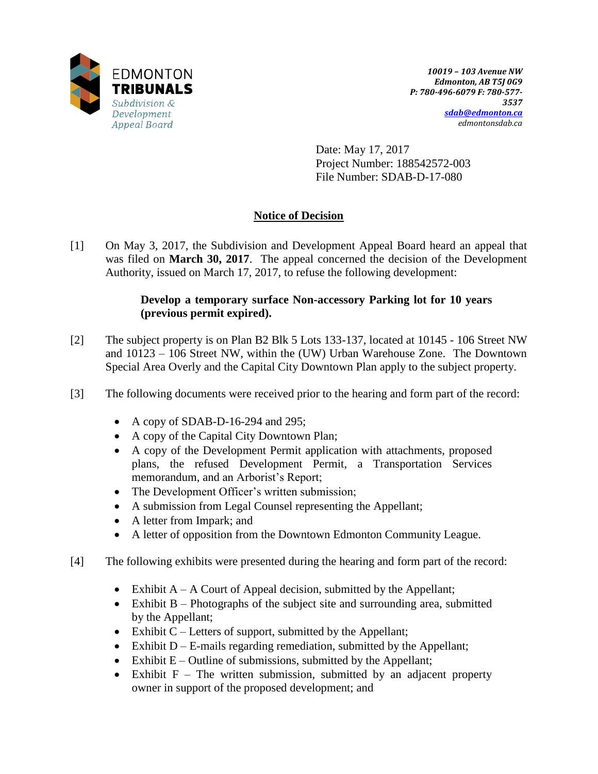

Date: May 17, 2017 Project Number: 188542572-003 File Number: SDAB-D-17-080

# **Notice of Decision**

[1] On May 3, 2017, the Subdivision and Development Appeal Board heard an appeal that was filed on **March 30, 2017**. The appeal concerned the decision of the Development Authority, issued on March 17, 2017, to refuse the following development:

## **Develop a temporary surface Non-accessory Parking lot for 10 years (previous permit expired).**

- [2] The subject property is on Plan B2 Blk 5 Lots 133-137, located at 10145 106 Street NW and 10123 – 106 Street NW, within the (UW) Urban Warehouse Zone. The Downtown Special Area Overly and the Capital City Downtown Plan apply to the subject property.
- [3] The following documents were received prior to the hearing and form part of the record:
	- A copy of SDAB-D-16-294 and 295;
	- A copy of the Capital City Downtown Plan;
	- A copy of the Development Permit application with attachments, proposed plans, the refused Development Permit, a Transportation Services memorandum, and an Arborist's Report;
	- The Development Officer's written submission;
	- A submission from Legal Counsel representing the Appellant;
	- A letter from Impark; and
	- A letter of opposition from the Downtown Edmonton Community League.
- [4] The following exhibits were presented during the hearing and form part of the record:
	- Exhibit  $A A$  Court of Appeal decision, submitted by the Appellant;
	- Exhibit B Photographs of the subject site and surrounding area, submitted by the Appellant;
	- Exhibit  $C$  Letters of support, submitted by the Appellant;
	- $\bullet$  Exhibit D E-mails regarding remediation, submitted by the Appellant;
	- Exhibit  $E -$ Outline of submissions, submitted by the Appellant;
	- Exhibit  $F -$  The written submission, submitted by an adjacent property owner in support of the proposed development; and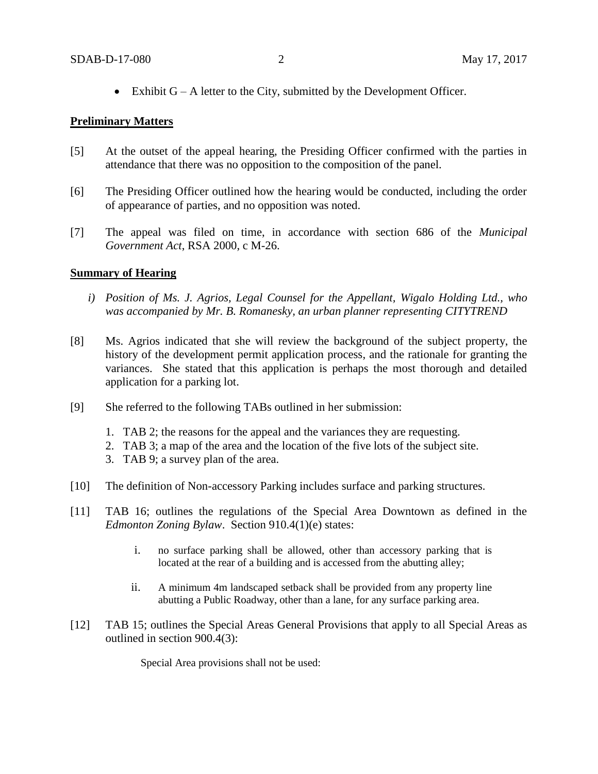Exhibit  $G - A$  letter to the City, submitted by the Development Officer.

## **Preliminary Matters**

- [5] At the outset of the appeal hearing, the Presiding Officer confirmed with the parties in attendance that there was no opposition to the composition of the panel.
- [6] The Presiding Officer outlined how the hearing would be conducted, including the order of appearance of parties, and no opposition was noted.
- [7] The appeal was filed on time, in accordance with section 686 of the *Municipal Government Act*, RSA 2000, c M-26.

## **Summary of Hearing**

- *i) Position of Ms. J. Agrios, Legal Counsel for the Appellant, Wigalo Holding Ltd., who was accompanied by Mr. B. Romanesky, an urban planner representing CITYTREND*
- [8] Ms. Agrios indicated that she will review the background of the subject property, the history of the development permit application process, and the rationale for granting the variances. She stated that this application is perhaps the most thorough and detailed application for a parking lot.
- [9] She referred to the following TABs outlined in her submission:
	- 1. TAB 2; the reasons for the appeal and the variances they are requesting.
	- 2. TAB 3; a map of the area and the location of the five lots of the subject site.
	- 3. TAB 9; a survey plan of the area.
- [10] The definition of Non-accessory Parking includes surface and parking structures.
- [11] TAB 16; outlines the regulations of the Special Area Downtown as defined in the *Edmonton Zoning Bylaw*. Section 910.4(1)(e) states:
	- i. no surface parking shall be allowed, other than accessory parking that is located at the rear of a building and is accessed from the abutting alley;
	- ii. A minimum 4m landscaped setback shall be provided from any property line abutting a Public Roadway, other than a lane, for any surface parking area.
- [12] TAB 15; outlines the Special Areas General Provisions that apply to all Special Areas as outlined in section 900.4(3):

Special Area provisions shall not be used: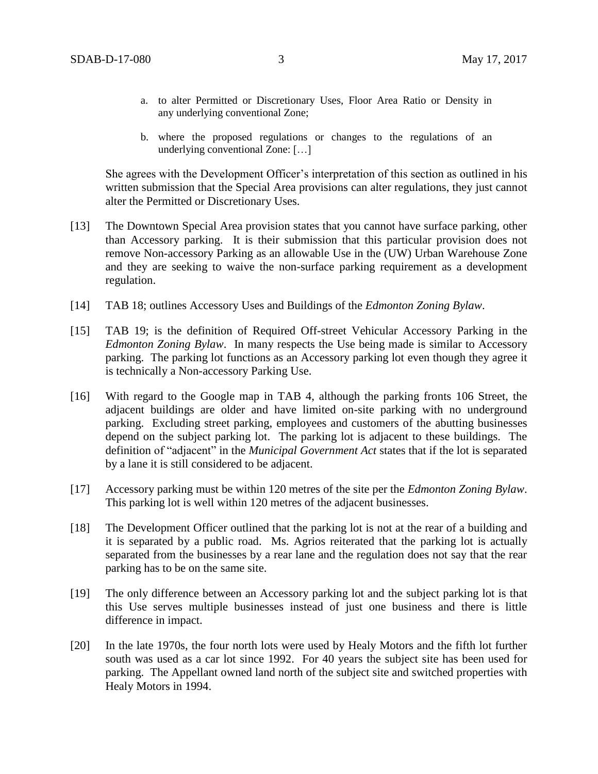- a. to alter Permitted or Discretionary Uses, Floor Area Ratio or Density in any underlying conventional Zone;
- b. where the proposed regulations or changes to the regulations of an underlying conventional Zone: […]

She agrees with the Development Officer's interpretation of this section as outlined in his written submission that the Special Area provisions can alter regulations, they just cannot alter the Permitted or Discretionary Uses.

- [13] The Downtown Special Area provision states that you cannot have surface parking, other than Accessory parking. It is their submission that this particular provision does not remove Non-accessory Parking as an allowable Use in the (UW) Urban Warehouse Zone and they are seeking to waive the non-surface parking requirement as a development regulation.
- [14] TAB 18; outlines Accessory Uses and Buildings of the *Edmonton Zoning Bylaw*.
- [15] TAB 19; is the definition of Required Off-street Vehicular Accessory Parking in the *Edmonton Zoning Bylaw*. In many respects the Use being made is similar to Accessory parking. The parking lot functions as an Accessory parking lot even though they agree it is technically a Non-accessory Parking Use.
- [16] With regard to the Google map in TAB 4, although the parking fronts 106 Street, the adjacent buildings are older and have limited on-site parking with no underground parking. Excluding street parking, employees and customers of the abutting businesses depend on the subject parking lot. The parking lot is adjacent to these buildings. The definition of "adjacent" in the *Municipal Government Act* states that if the lot is separated by a lane it is still considered to be adjacent.
- [17] Accessory parking must be within 120 metres of the site per the *Edmonton Zoning Bylaw*. This parking lot is well within 120 metres of the adjacent businesses.
- [18] The Development Officer outlined that the parking lot is not at the rear of a building and it is separated by a public road. Ms. Agrios reiterated that the parking lot is actually separated from the businesses by a rear lane and the regulation does not say that the rear parking has to be on the same site.
- [19] The only difference between an Accessory parking lot and the subject parking lot is that this Use serves multiple businesses instead of just one business and there is little difference in impact.
- [20] In the late 1970s, the four north lots were used by Healy Motors and the fifth lot further south was used as a car lot since 1992. For 40 years the subject site has been used for parking. The Appellant owned land north of the subject site and switched properties with Healy Motors in 1994.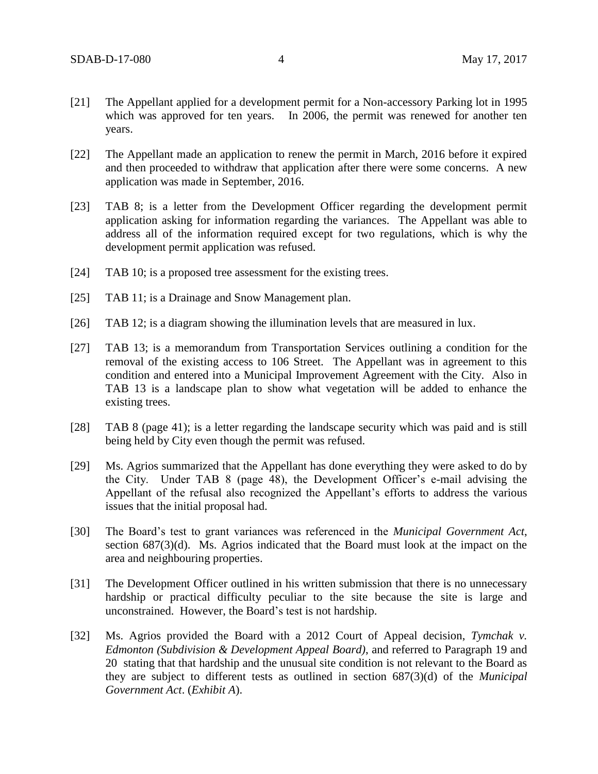- [21] The Appellant applied for a development permit for a Non-accessory Parking lot in 1995 which was approved for ten years. In 2006, the permit was renewed for another ten years.
- [22] The Appellant made an application to renew the permit in March, 2016 before it expired and then proceeded to withdraw that application after there were some concerns. A new application was made in September, 2016.
- [23] TAB 8; is a letter from the Development Officer regarding the development permit application asking for information regarding the variances. The Appellant was able to address all of the information required except for two regulations, which is why the development permit application was refused.
- [24] TAB 10; is a proposed tree assessment for the existing trees.
- [25] TAB 11; is a Drainage and Snow Management plan.
- [26] TAB 12; is a diagram showing the illumination levels that are measured in lux.
- [27] TAB 13; is a memorandum from Transportation Services outlining a condition for the removal of the existing access to 106 Street. The Appellant was in agreement to this condition and entered into a Municipal Improvement Agreement with the City. Also in TAB 13 is a landscape plan to show what vegetation will be added to enhance the existing trees.
- [28] TAB 8 (page 41); is a letter regarding the landscape security which was paid and is still being held by City even though the permit was refused.
- [29] Ms. Agrios summarized that the Appellant has done everything they were asked to do by the City. Under TAB 8 (page 48), the Development Officer's e-mail advising the Appellant of the refusal also recognized the Appellant's efforts to address the various issues that the initial proposal had.
- [30] The Board's test to grant variances was referenced in the *Municipal Government Act*, section 687(3)(d). Ms. Agrios indicated that the Board must look at the impact on the area and neighbouring properties.
- [31] The Development Officer outlined in his written submission that there is no unnecessary hardship or practical difficulty peculiar to the site because the site is large and unconstrained. However, the Board's test is not hardship.
- [32] Ms. Agrios provided the Board with a 2012 Court of Appeal decision, *Tymchak v. Edmonton (Subdivision & Development Appeal Board)*, and referred to Paragraph 19 and 20 stating that that hardship and the unusual site condition is not relevant to the Board as they are subject to different tests as outlined in section 687(3)(d) of the *Municipal Government Act*. (*Exhibit A*).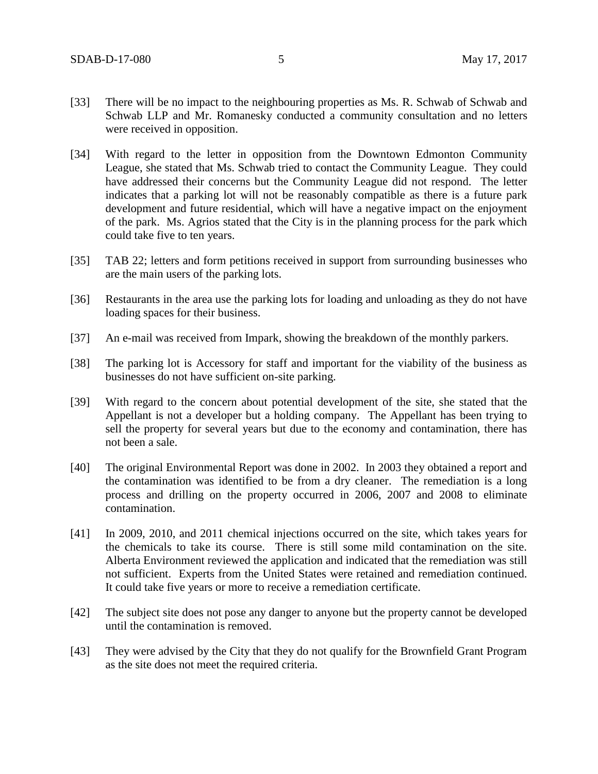- [33] There will be no impact to the neighbouring properties as Ms. R. Schwab of Schwab and Schwab LLP and Mr. Romanesky conducted a community consultation and no letters were received in opposition.
- [34] With regard to the letter in opposition from the Downtown Edmonton Community League, she stated that Ms. Schwab tried to contact the Community League. They could have addressed their concerns but the Community League did not respond. The letter indicates that a parking lot will not be reasonably compatible as there is a future park development and future residential, which will have a negative impact on the enjoyment of the park. Ms. Agrios stated that the City is in the planning process for the park which could take five to ten years.
- [35] TAB 22; letters and form petitions received in support from surrounding businesses who are the main users of the parking lots.
- [36] Restaurants in the area use the parking lots for loading and unloading as they do not have loading spaces for their business.
- [37] An e-mail was received from Impark, showing the breakdown of the monthly parkers.
- [38] The parking lot is Accessory for staff and important for the viability of the business as businesses do not have sufficient on-site parking.
- [39] With regard to the concern about potential development of the site, she stated that the Appellant is not a developer but a holding company. The Appellant has been trying to sell the property for several years but due to the economy and contamination, there has not been a sale.
- [40] The original Environmental Report was done in 2002. In 2003 they obtained a report and the contamination was identified to be from a dry cleaner. The remediation is a long process and drilling on the property occurred in 2006, 2007 and 2008 to eliminate contamination.
- [41] In 2009, 2010, and 2011 chemical injections occurred on the site, which takes years for the chemicals to take its course. There is still some mild contamination on the site. Alberta Environment reviewed the application and indicated that the remediation was still not sufficient. Experts from the United States were retained and remediation continued. It could take five years or more to receive a remediation certificate.
- [42] The subject site does not pose any danger to anyone but the property cannot be developed until the contamination is removed.
- [43] They were advised by the City that they do not qualify for the Brownfield Grant Program as the site does not meet the required criteria.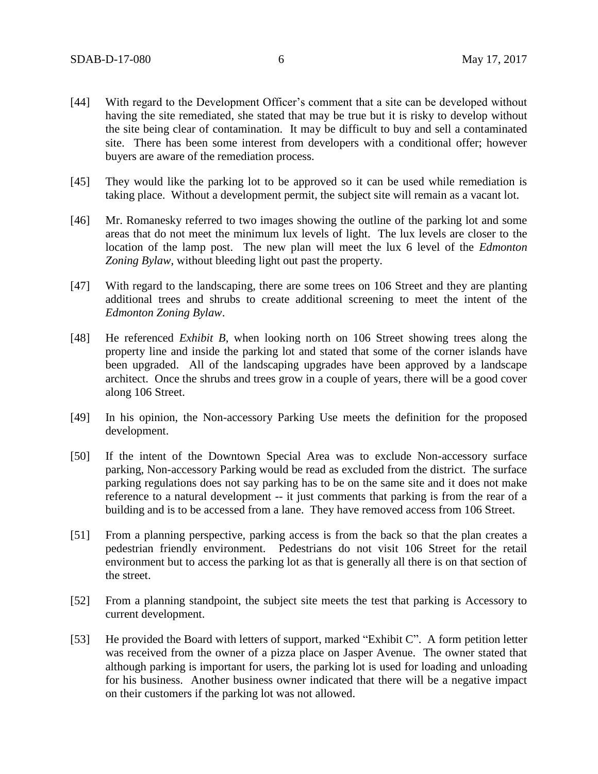- [44] With regard to the Development Officer's comment that a site can be developed without having the site remediated, she stated that may be true but it is risky to develop without the site being clear of contamination. It may be difficult to buy and sell a contaminated site. There has been some interest from developers with a conditional offer; however buyers are aware of the remediation process.
- [45] They would like the parking lot to be approved so it can be used while remediation is taking place. Without a development permit, the subject site will remain as a vacant lot.
- [46] Mr. Romanesky referred to two images showing the outline of the parking lot and some areas that do not meet the minimum lux levels of light. The lux levels are closer to the location of the lamp post. The new plan will meet the lux 6 level of the *Edmonton Zoning Bylaw*, without bleeding light out past the property.
- [47] With regard to the landscaping, there are some trees on 106 Street and they are planting additional trees and shrubs to create additional screening to meet the intent of the *Edmonton Zoning Bylaw*.
- [48] He referenced *Exhibit B*, when looking north on 106 Street showing trees along the property line and inside the parking lot and stated that some of the corner islands have been upgraded. All of the landscaping upgrades have been approved by a landscape architect. Once the shrubs and trees grow in a couple of years, there will be a good cover along 106 Street.
- [49] In his opinion, the Non-accessory Parking Use meets the definition for the proposed development.
- [50] If the intent of the Downtown Special Area was to exclude Non-accessory surface parking, Non-accessory Parking would be read as excluded from the district. The surface parking regulations does not say parking has to be on the same site and it does not make reference to a natural development -- it just comments that parking is from the rear of a building and is to be accessed from a lane. They have removed access from 106 Street.
- [51] From a planning perspective, parking access is from the back so that the plan creates a pedestrian friendly environment. Pedestrians do not visit 106 Street for the retail environment but to access the parking lot as that is generally all there is on that section of the street.
- [52] From a planning standpoint, the subject site meets the test that parking is Accessory to current development.
- [53] He provided the Board with letters of support, marked "Exhibit C". A form petition letter was received from the owner of a pizza place on Jasper Avenue. The owner stated that although parking is important for users, the parking lot is used for loading and unloading for his business. Another business owner indicated that there will be a negative impact on their customers if the parking lot was not allowed.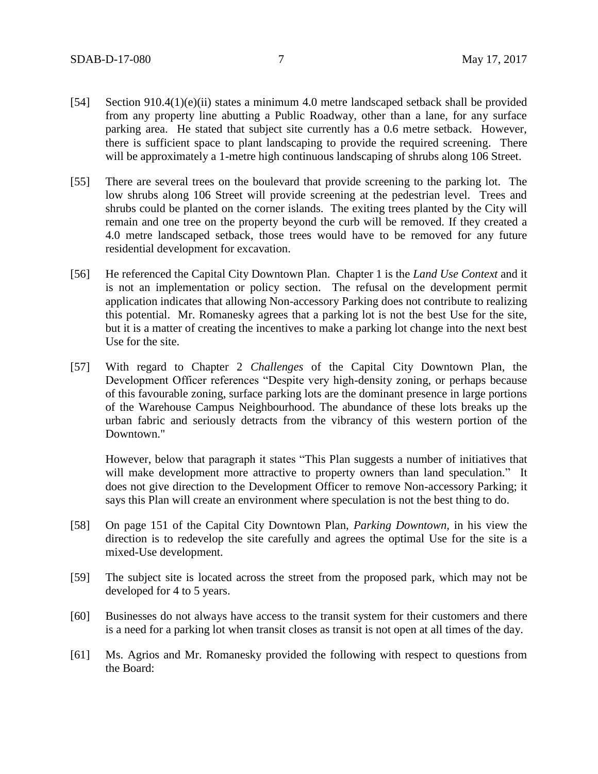- [54] Section 910.4(1)(e)(ii) states a minimum 4.0 metre landscaped setback shall be provided from any property line abutting a Public Roadway, other than a lane, for any surface parking area. He stated that subject site currently has a 0.6 metre setback. However, there is sufficient space to plant landscaping to provide the required screening. There will be approximately a 1-metre high continuous landscaping of shrubs along 106 Street.
- [55] There are several trees on the boulevard that provide screening to the parking lot. The low shrubs along 106 Street will provide screening at the pedestrian level. Trees and shrubs could be planted on the corner islands. The exiting trees planted by the City will remain and one tree on the property beyond the curb will be removed. If they created a 4.0 metre landscaped setback, those trees would have to be removed for any future residential development for excavation.
- [56] He referenced the Capital City Downtown Plan. Chapter 1 is the *Land Use Context* and it is not an implementation or policy section. The refusal on the development permit application indicates that allowing Non-accessory Parking does not contribute to realizing this potential. Mr. Romanesky agrees that a parking lot is not the best Use for the site, but it is a matter of creating the incentives to make a parking lot change into the next best Use for the site.
- [57] With regard to Chapter 2 *Challenges* of the Capital City Downtown Plan, the Development Officer references "Despite very high-density zoning, or perhaps because of this favourable zoning, surface parking lots are the dominant presence in large portions of the Warehouse Campus Neighbourhood. The abundance of these lots breaks up the urban fabric and seriously detracts from the vibrancy of this western portion of the Downtown."

However, below that paragraph it states "This Plan suggests a number of initiatives that will make development more attractive to property owners than land speculation." It does not give direction to the Development Officer to remove Non-accessory Parking; it says this Plan will create an environment where speculation is not the best thing to do.

- [58] On page 151 of the Capital City Downtown Plan, *Parking Downtown,* in his view the direction is to redevelop the site carefully and agrees the optimal Use for the site is a mixed-Use development.
- [59] The subject site is located across the street from the proposed park, which may not be developed for 4 to 5 years.
- [60] Businesses do not always have access to the transit system for their customers and there is a need for a parking lot when transit closes as transit is not open at all times of the day.
- [61] Ms. Agrios and Mr. Romanesky provided the following with respect to questions from the Board: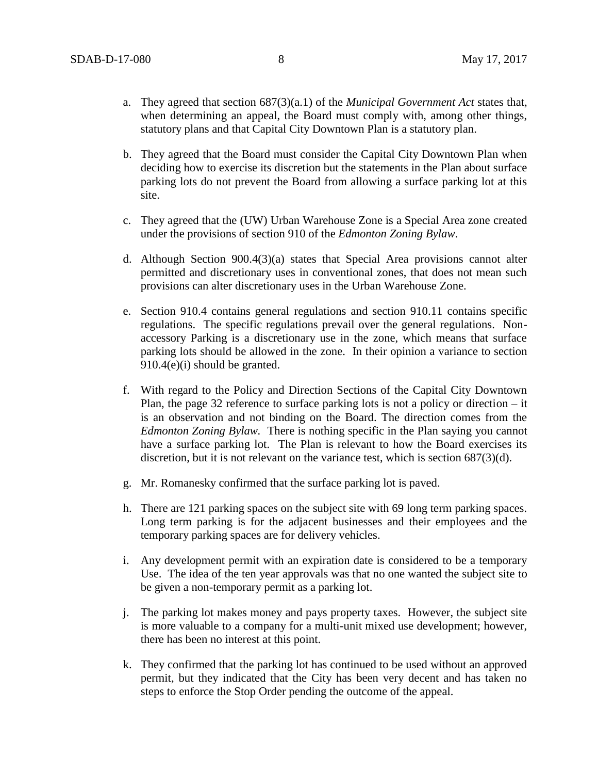- a. They agreed that section 687(3)(a.1) of the *Municipal Government Act* states that, when determining an appeal, the Board must comply with, among other things, statutory plans and that Capital City Downtown Plan is a statutory plan.
- b. They agreed that the Board must consider the Capital City Downtown Plan when deciding how to exercise its discretion but the statements in the Plan about surface parking lots do not prevent the Board from allowing a surface parking lot at this site.
- c. They agreed that the (UW) Urban Warehouse Zone is a Special Area zone created under the provisions of section 910 of the *Edmonton Zoning Bylaw*.
- d. Although Section 900.4(3)(a) states that Special Area provisions cannot alter permitted and discretionary uses in conventional zones, that does not mean such provisions can alter discretionary uses in the Urban Warehouse Zone.
- e. Section 910.4 contains general regulations and section 910.11 contains specific regulations. The specific regulations prevail over the general regulations. Nonaccessory Parking is a discretionary use in the zone, which means that surface parking lots should be allowed in the zone. In their opinion a variance to section 910.4(e)(i) should be granted.
- f. With regard to the Policy and Direction Sections of the Capital City Downtown Plan, the page 32 reference to surface parking lots is not a policy or direction – it is an observation and not binding on the Board. The direction comes from the *Edmonton Zoning Bylaw.* There is nothing specific in the Plan saying you cannot have a surface parking lot. The Plan is relevant to how the Board exercises its discretion, but it is not relevant on the variance test, which is section 687(3)(d).
- g. Mr. Romanesky confirmed that the surface parking lot is paved.
- h. There are 121 parking spaces on the subject site with 69 long term parking spaces. Long term parking is for the adjacent businesses and their employees and the temporary parking spaces are for delivery vehicles.
- i. Any development permit with an expiration date is considered to be a temporary Use. The idea of the ten year approvals was that no one wanted the subject site to be given a non-temporary permit as a parking lot.
- j. The parking lot makes money and pays property taxes. However, the subject site is more valuable to a company for a multi-unit mixed use development; however, there has been no interest at this point.
- k. They confirmed that the parking lot has continued to be used without an approved permit, but they indicated that the City has been very decent and has taken no steps to enforce the Stop Order pending the outcome of the appeal.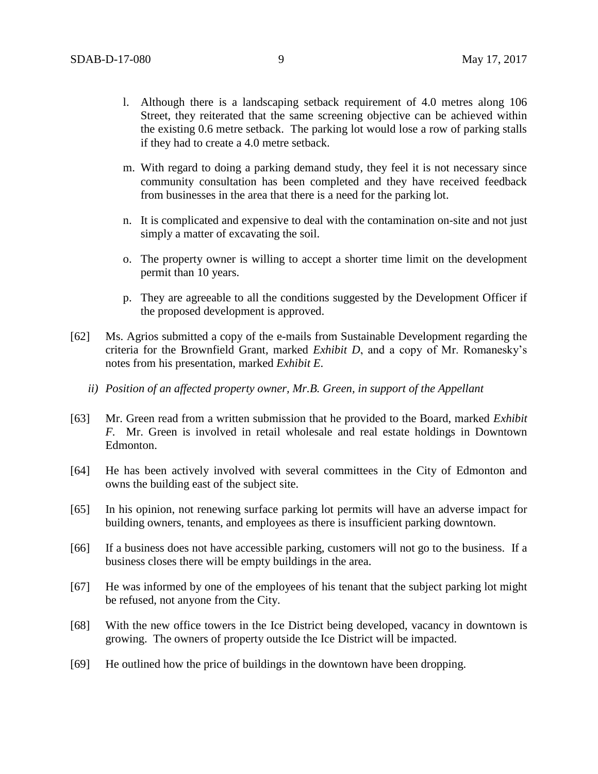- l. Although there is a landscaping setback requirement of 4.0 metres along 106 Street, they reiterated that the same screening objective can be achieved within the existing 0.6 metre setback. The parking lot would lose a row of parking stalls if they had to create a 4.0 metre setback.
- m. With regard to doing a parking demand study, they feel it is not necessary since community consultation has been completed and they have received feedback from businesses in the area that there is a need for the parking lot.
- n. It is complicated and expensive to deal with the contamination on-site and not just simply a matter of excavating the soil.
- o. The property owner is willing to accept a shorter time limit on the development permit than 10 years.
- p. They are agreeable to all the conditions suggested by the Development Officer if the proposed development is approved.
- [62] Ms. Agrios submitted a copy of the e-mails from Sustainable Development regarding the criteria for the Brownfield Grant, marked *Exhibit D*, and a copy of Mr. Romanesky's notes from his presentation, marked *Exhibit E*.
	- *ii) Position of an affected property owner, Mr.B. Green, in support of the Appellant*
- [63] Mr. Green read from a written submission that he provided to the Board, marked *Exhibit F.* Mr. Green is involved in retail wholesale and real estate holdings in Downtown Edmonton.
- [64] He has been actively involved with several committees in the City of Edmonton and owns the building east of the subject site.
- [65] In his opinion, not renewing surface parking lot permits will have an adverse impact for building owners, tenants, and employees as there is insufficient parking downtown.
- [66] If a business does not have accessible parking, customers will not go to the business. If a business closes there will be empty buildings in the area.
- [67] He was informed by one of the employees of his tenant that the subject parking lot might be refused, not anyone from the City.
- [68] With the new office towers in the Ice District being developed, vacancy in downtown is growing. The owners of property outside the Ice District will be impacted.
- [69] He outlined how the price of buildings in the downtown have been dropping.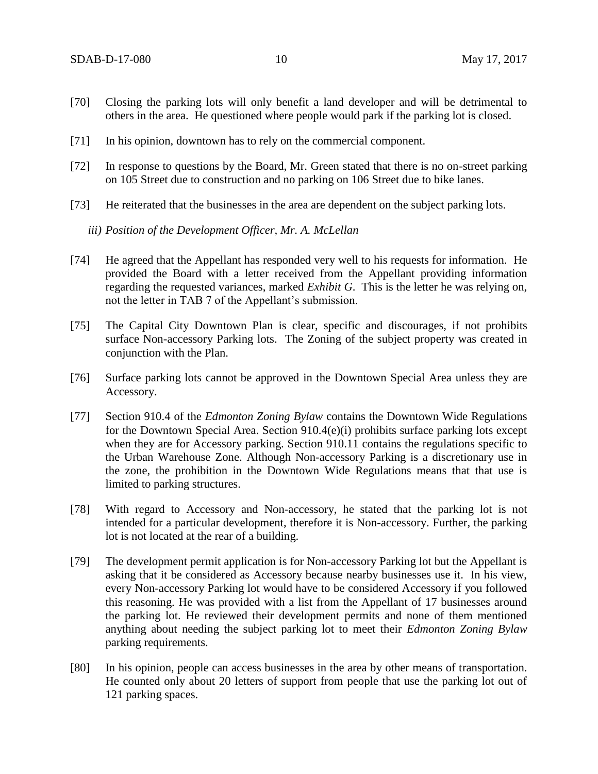- [70] Closing the parking lots will only benefit a land developer and will be detrimental to others in the area. He questioned where people would park if the parking lot is closed.
- [71] In his opinion, downtown has to rely on the commercial component.
- [72] In response to questions by the Board, Mr. Green stated that there is no on-street parking on 105 Street due to construction and no parking on 106 Street due to bike lanes.
- [73] He reiterated that the businesses in the area are dependent on the subject parking lots.

*iii) Position of the Development Officer, Mr. A. McLellan* 

- [74] He agreed that the Appellant has responded very well to his requests for information. He provided the Board with a letter received from the Appellant providing information regarding the requested variances, marked *Exhibit G*. This is the letter he was relying on, not the letter in TAB 7 of the Appellant's submission.
- [75] The Capital City Downtown Plan is clear, specific and discourages, if not prohibits surface Non-accessory Parking lots. The Zoning of the subject property was created in conjunction with the Plan.
- [76] Surface parking lots cannot be approved in the Downtown Special Area unless they are Accessory.
- [77] Section 910.4 of the *Edmonton Zoning Bylaw* contains the Downtown Wide Regulations for the Downtown Special Area. Section 910.4(e)(i) prohibits surface parking lots except when they are for Accessory parking. Section 910.11 contains the regulations specific to the Urban Warehouse Zone. Although Non-accessory Parking is a discretionary use in the zone, the prohibition in the Downtown Wide Regulations means that that use is limited to parking structures.
- [78] With regard to Accessory and Non-accessory, he stated that the parking lot is not intended for a particular development, therefore it is Non-accessory. Further, the parking lot is not located at the rear of a building.
- [79] The development permit application is for Non-accessory Parking lot but the Appellant is asking that it be considered as Accessory because nearby businesses use it. In his view, every Non-accessory Parking lot would have to be considered Accessory if you followed this reasoning. He was provided with a list from the Appellant of 17 businesses around the parking lot. He reviewed their development permits and none of them mentioned anything about needing the subject parking lot to meet their *Edmonton Zoning Bylaw* parking requirements.
- [80] In his opinion, people can access businesses in the area by other means of transportation. He counted only about 20 letters of support from people that use the parking lot out of 121 parking spaces.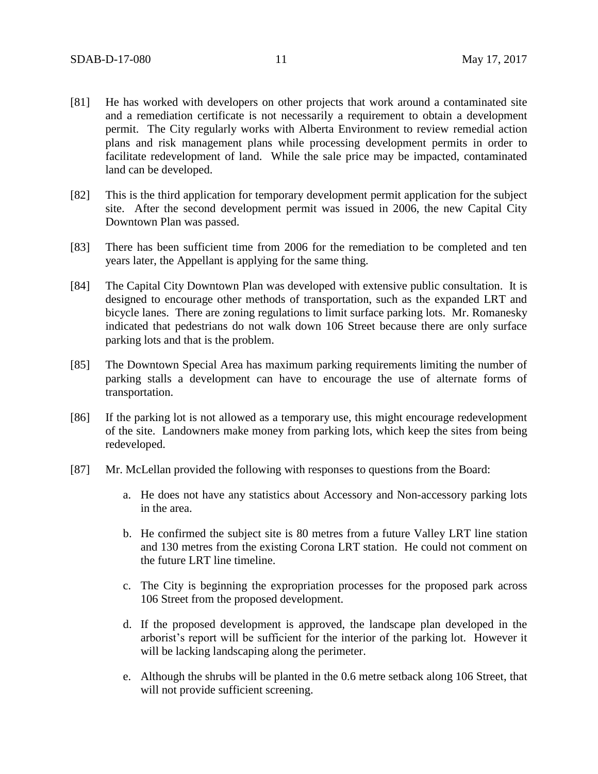- [81] He has worked with developers on other projects that work around a contaminated site and a remediation certificate is not necessarily a requirement to obtain a development permit. The City regularly works with Alberta Environment to review remedial action plans and risk management plans while processing development permits in order to facilitate redevelopment of land. While the sale price may be impacted, contaminated land can be developed.
- [82] This is the third application for temporary development permit application for the subject site. After the second development permit was issued in 2006, the new Capital City Downtown Plan was passed.
- [83] There has been sufficient time from 2006 for the remediation to be completed and ten years later, the Appellant is applying for the same thing.
- [84] The Capital City Downtown Plan was developed with extensive public consultation. It is designed to encourage other methods of transportation, such as the expanded LRT and bicycle lanes. There are zoning regulations to limit surface parking lots. Mr. Romanesky indicated that pedestrians do not walk down 106 Street because there are only surface parking lots and that is the problem.
- [85] The Downtown Special Area has maximum parking requirements limiting the number of parking stalls a development can have to encourage the use of alternate forms of transportation.
- [86] If the parking lot is not allowed as a temporary use, this might encourage redevelopment of the site. Landowners make money from parking lots, which keep the sites from being redeveloped.
- [87] Mr. McLellan provided the following with responses to questions from the Board:
	- a. He does not have any statistics about Accessory and Non-accessory parking lots in the area.
	- b. He confirmed the subject site is 80 metres from a future Valley LRT line station and 130 metres from the existing Corona LRT station. He could not comment on the future LRT line timeline.
	- c. The City is beginning the expropriation processes for the proposed park across 106 Street from the proposed development.
	- d. If the proposed development is approved, the landscape plan developed in the arborist's report will be sufficient for the interior of the parking lot. However it will be lacking landscaping along the perimeter.
	- e. Although the shrubs will be planted in the 0.6 metre setback along 106 Street, that will not provide sufficient screening.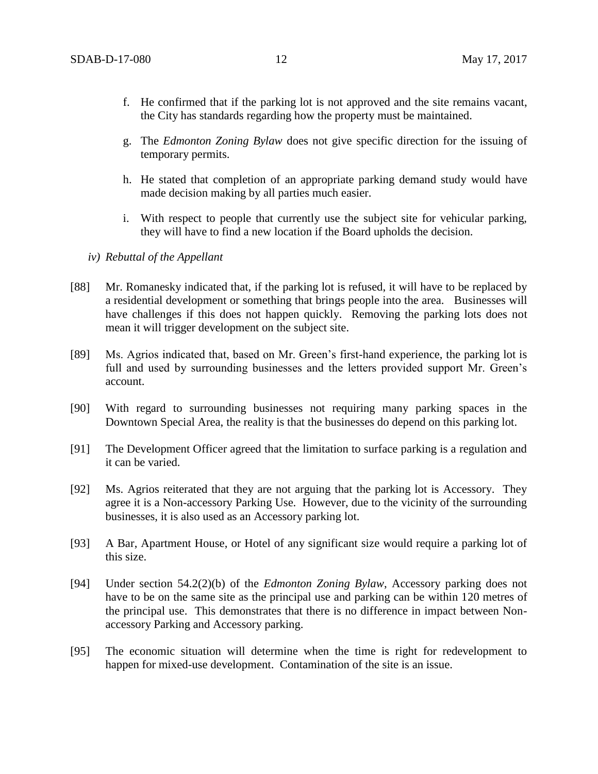- f. He confirmed that if the parking lot is not approved and the site remains vacant, the City has standards regarding how the property must be maintained.
- g. The *Edmonton Zoning Bylaw* does not give specific direction for the issuing of temporary permits.
- h. He stated that completion of an appropriate parking demand study would have made decision making by all parties much easier.
- i. With respect to people that currently use the subject site for vehicular parking, they will have to find a new location if the Board upholds the decision.
- *iv) Rebuttal of the Appellant*
- [88] Mr. Romanesky indicated that, if the parking lot is refused, it will have to be replaced by a residential development or something that brings people into the area. Businesses will have challenges if this does not happen quickly. Removing the parking lots does not mean it will trigger development on the subject site.
- [89] Ms. Agrios indicated that, based on Mr. Green's first-hand experience, the parking lot is full and used by surrounding businesses and the letters provided support Mr. Green's account.
- [90] With regard to surrounding businesses not requiring many parking spaces in the Downtown Special Area, the reality is that the businesses do depend on this parking lot.
- [91] The Development Officer agreed that the limitation to surface parking is a regulation and it can be varied.
- [92] Ms. Agrios reiterated that they are not arguing that the parking lot is Accessory. They agree it is a Non-accessory Parking Use. However, due to the vicinity of the surrounding businesses, it is also used as an Accessory parking lot.
- [93] A Bar, Apartment House, or Hotel of any significant size would require a parking lot of this size.
- [94] Under section 54.2(2)(b) of the *Edmonton Zoning Bylaw*, Accessory parking does not have to be on the same site as the principal use and parking can be within 120 metres of the principal use. This demonstrates that there is no difference in impact between Nonaccessory Parking and Accessory parking.
- [95] The economic situation will determine when the time is right for redevelopment to happen for mixed-use development. Contamination of the site is an issue.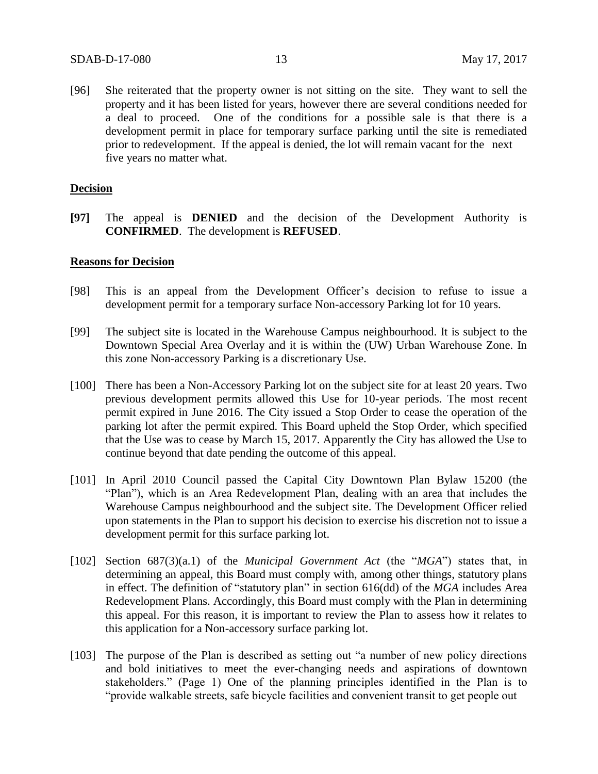[96] She reiterated that the property owner is not sitting on the site. They want to sell the property and it has been listed for years, however there are several conditions needed for a deal to proceed. One of the conditions for a possible sale is that there is a development permit in place for temporary surface parking until the site is remediated prior to redevelopment. If the appeal is denied, the lot will remain vacant for the next five years no matter what.

## **Decision**

**[97]** The appeal is **DENIED** and the decision of the Development Authority is **CONFIRMED**. The development is **REFUSED**.

## **Reasons for Decision**

- [98] This is an appeal from the Development Officer's decision to refuse to issue a development permit for a temporary surface Non-accessory Parking lot for 10 years.
- [99] The subject site is located in the Warehouse Campus neighbourhood. It is subject to the Downtown Special Area Overlay and it is within the (UW) Urban Warehouse Zone. In this zone Non-accessory Parking is a discretionary Use.
- [100] There has been a Non-Accessory Parking lot on the subject site for at least 20 years. Two previous development permits allowed this Use for 10-year periods. The most recent permit expired in June 2016. The City issued a Stop Order to cease the operation of the parking lot after the permit expired. This Board upheld the Stop Order, which specified that the Use was to cease by March 15, 2017. Apparently the City has allowed the Use to continue beyond that date pending the outcome of this appeal.
- [101] In April 2010 Council passed the Capital City Downtown Plan Bylaw 15200 (the "Plan"), which is an Area Redevelopment Plan, dealing with an area that includes the Warehouse Campus neighbourhood and the subject site. The Development Officer relied upon statements in the Plan to support his decision to exercise his discretion not to issue a development permit for this surface parking lot.
- [102] Section 687(3)(a.1) of the *Municipal Government Act* (the "*MGA*") states that, in determining an appeal, this Board must comply with, among other things, statutory plans in effect. The definition of "statutory plan" in section 616(dd) of the *MGA* includes Area Redevelopment Plans. Accordingly, this Board must comply with the Plan in determining this appeal. For this reason, it is important to review the Plan to assess how it relates to this application for a Non-accessory surface parking lot.
- [103] The purpose of the Plan is described as setting out "a number of new policy directions" and bold initiatives to meet the ever-changing needs and aspirations of downtown stakeholders." (Page 1) One of the planning principles identified in the Plan is to "provide walkable streets, safe bicycle facilities and convenient transit to get people out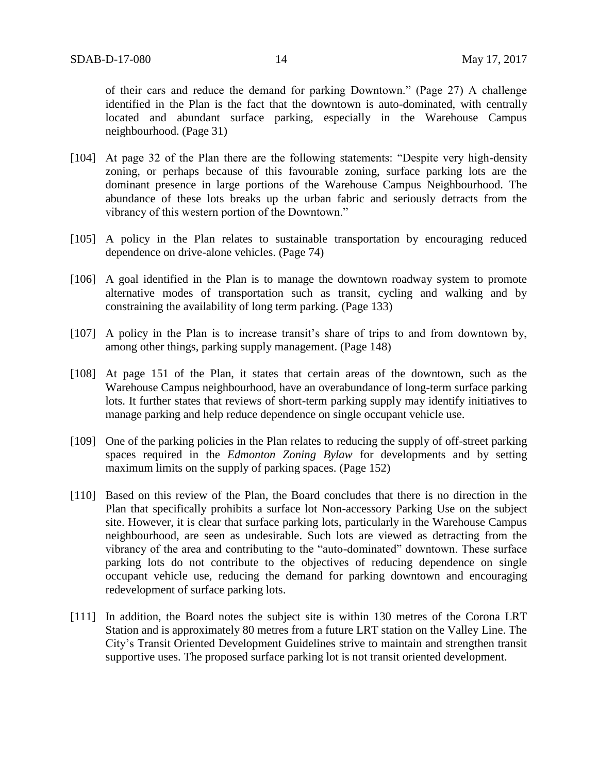of their cars and reduce the demand for parking Downtown." (Page 27) A challenge identified in the Plan is the fact that the downtown is auto-dominated, with centrally located and abundant surface parking, especially in the Warehouse Campus neighbourhood. (Page 31)

- [104] At page 32 of the Plan there are the following statements: "Despite very high-density zoning, or perhaps because of this favourable zoning, surface parking lots are the dominant presence in large portions of the Warehouse Campus Neighbourhood. The abundance of these lots breaks up the urban fabric and seriously detracts from the vibrancy of this western portion of the Downtown."
- [105] A policy in the Plan relates to sustainable transportation by encouraging reduced dependence on drive-alone vehicles. (Page 74)
- [106] A goal identified in the Plan is to manage the downtown roadway system to promote alternative modes of transportation such as transit, cycling and walking and by constraining the availability of long term parking. (Page 133)
- [107] A policy in the Plan is to increase transit's share of trips to and from downtown by, among other things, parking supply management. (Page 148)
- [108] At page 151 of the Plan, it states that certain areas of the downtown, such as the Warehouse Campus neighbourhood, have an overabundance of long-term surface parking lots. It further states that reviews of short-term parking supply may identify initiatives to manage parking and help reduce dependence on single occupant vehicle use.
- [109] One of the parking policies in the Plan relates to reducing the supply of off-street parking spaces required in the *Edmonton Zoning Bylaw* for developments and by setting maximum limits on the supply of parking spaces. (Page 152)
- [110] Based on this review of the Plan, the Board concludes that there is no direction in the Plan that specifically prohibits a surface lot Non-accessory Parking Use on the subject site. However, it is clear that surface parking lots, particularly in the Warehouse Campus neighbourhood, are seen as undesirable. Such lots are viewed as detracting from the vibrancy of the area and contributing to the "auto-dominated" downtown. These surface parking lots do not contribute to the objectives of reducing dependence on single occupant vehicle use, reducing the demand for parking downtown and encouraging redevelopment of surface parking lots.
- [111] In addition, the Board notes the subject site is within 130 metres of the Corona LRT Station and is approximately 80 metres from a future LRT station on the Valley Line. The City's Transit Oriented Development Guidelines strive to maintain and strengthen transit supportive uses. The proposed surface parking lot is not transit oriented development.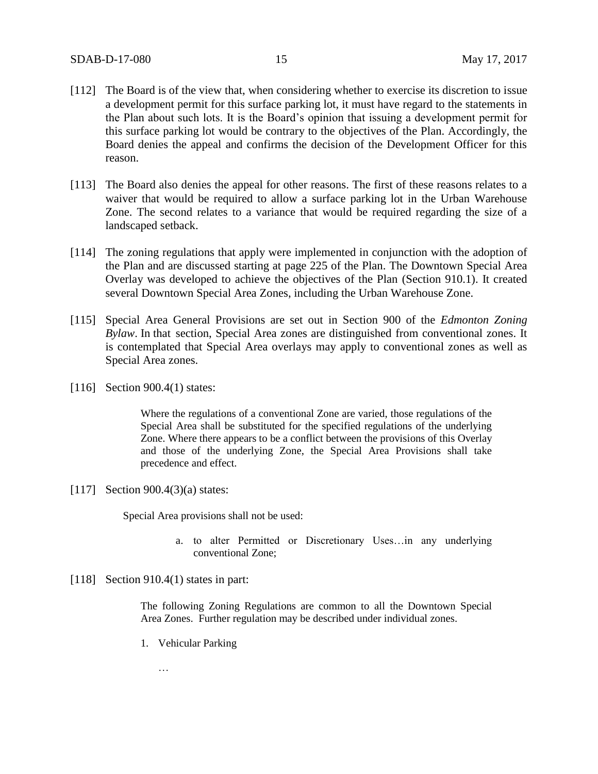- [112] The Board is of the view that, when considering whether to exercise its discretion to issue a development permit for this surface parking lot, it must have regard to the statements in the Plan about such lots. It is the Board's opinion that issuing a development permit for this surface parking lot would be contrary to the objectives of the Plan. Accordingly, the Board denies the appeal and confirms the decision of the Development Officer for this reason.
- [113] The Board also denies the appeal for other reasons. The first of these reasons relates to a waiver that would be required to allow a surface parking lot in the Urban Warehouse Zone. The second relates to a variance that would be required regarding the size of a landscaped setback.
- [114] The zoning regulations that apply were implemented in conjunction with the adoption of the Plan and are discussed starting at page 225 of the Plan. The Downtown Special Area Overlay was developed to achieve the objectives of the Plan (Section 910.1). It created several Downtown Special Area Zones, including the Urban Warehouse Zone.
- [115] Special Area General Provisions are set out in Section 900 of the *Edmonton Zoning Bylaw*. In that section, Special Area zones are distinguished from conventional zones. It is contemplated that Special Area overlays may apply to conventional zones as well as Special Area zones.
- [116] Section 900.4(1) states:

Where the regulations of a conventional Zone are varied, those regulations of the Special Area shall be substituted for the specified regulations of the underlying Zone. Where there appears to be a conflict between the provisions of this Overlay and those of the underlying Zone, the Special Area Provisions shall take precedence and effect.

[117] Section 900.4(3)(a) states:

Special Area provisions shall not be used:

- a. to alter Permitted or Discretionary Uses…in any underlying conventional Zone;
- [118] Section 910.4(1) states in part:

The following Zoning Regulations are common to all the Downtown Special Area Zones. Further regulation may be described under individual zones.

1. Vehicular Parking

…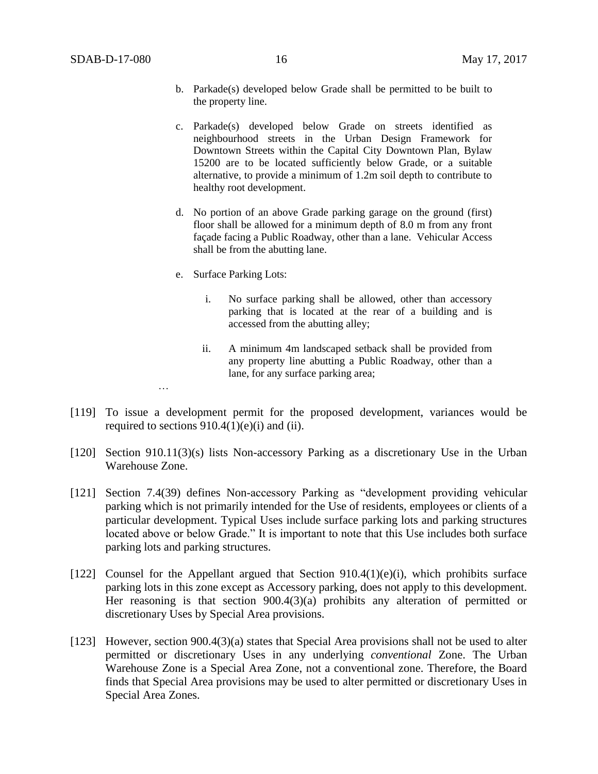- b. Parkade(s) developed below Grade shall be permitted to be built to the property line.
- c. Parkade(s) developed below Grade on streets identified as neighbourhood streets in the Urban Design Framework for Downtown Streets within the Capital City Downtown Plan, Bylaw 15200 are to be located sufficiently below Grade, or a suitable alternative, to provide a minimum of 1.2m soil depth to contribute to healthy root development.
- d. No portion of an above Grade parking garage on the ground (first) floor shall be allowed for a minimum depth of [8.0 m](javascript:void(0);) from any front façade facing a Public Roadway, other than a lane. Vehicular Access shall be from the abutting lane.
- e. Surface Parking Lots:

…

- i. No surface parking shall be allowed, other than accessory parking that is located at the rear of a building and is accessed from the abutting alley;
- ii. A minimum 4m landscaped setback shall be provided from any property line abutting a Public Roadway, other than a lane, for any surface parking area;
- [119] To issue a development permit for the proposed development, variances would be required to sections  $910.4(1)(e)(i)$  and (ii).
- [120] Section 910.11(3)(s) lists Non-accessory Parking as a discretionary Use in the Urban Warehouse Zone.
- [121] Section 7.4(39) defines Non-accessory Parking as "development providing vehicular parking which is not primarily intended for the Use of residents, employees or clients of a particular development. Typical Uses include surface parking lots and parking structures located above or below Grade." It is important to note that this Use includes both surface parking lots and parking structures.
- [122] Counsel for the Appellant argued that Section 910.4(1)(e)(i), which prohibits surface parking lots in this zone except as Accessory parking, does not apply to this development. Her reasoning is that section 900.4(3)(a) prohibits any alteration of permitted or discretionary Uses by Special Area provisions.
- [123] However, section 900.4(3)(a) states that Special Area provisions shall not be used to alter permitted or discretionary Uses in any underlying *conventional* Zone. The Urban Warehouse Zone is a Special Area Zone, not a conventional zone. Therefore, the Board finds that Special Area provisions may be used to alter permitted or discretionary Uses in Special Area Zones.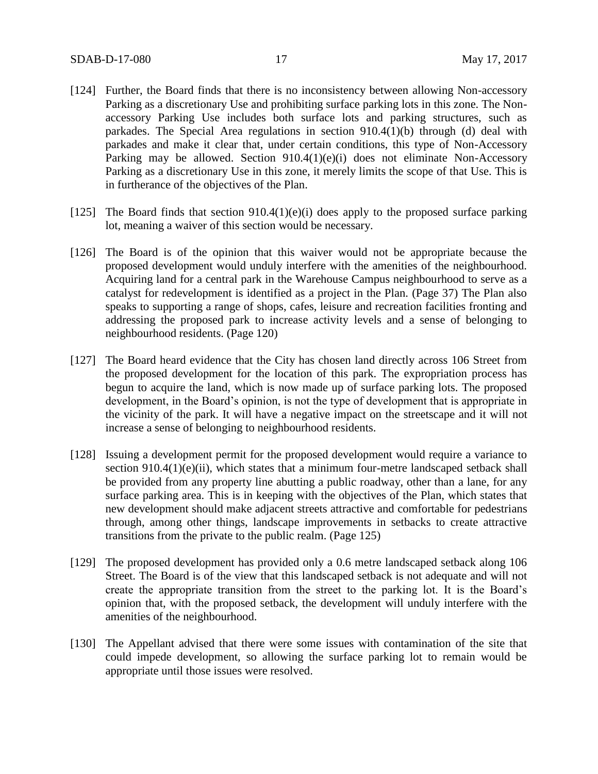- [124] Further, the Board finds that there is no inconsistency between allowing Non-accessory Parking as a discretionary Use and prohibiting surface parking lots in this zone. The Nonaccessory Parking Use includes both surface lots and parking structures, such as parkades. The Special Area regulations in section 910.4(1)(b) through (d) deal with parkades and make it clear that, under certain conditions, this type of Non-Accessory Parking may be allowed. Section 910.4(1)(e)(i) does not eliminate Non-Accessory Parking as a discretionary Use in this zone, it merely limits the scope of that Use. This is in furtherance of the objectives of the Plan.
- [125] The Board finds that section  $910.4(1)(e)(i)$  does apply to the proposed surface parking lot, meaning a waiver of this section would be necessary.
- [126] The Board is of the opinion that this waiver would not be appropriate because the proposed development would unduly interfere with the amenities of the neighbourhood. Acquiring land for a central park in the Warehouse Campus neighbourhood to serve as a catalyst for redevelopment is identified as a project in the Plan. (Page 37) The Plan also speaks to supporting a range of shops, cafes, leisure and recreation facilities fronting and addressing the proposed park to increase activity levels and a sense of belonging to neighbourhood residents. (Page 120)
- [127] The Board heard evidence that the City has chosen land directly across 106 Street from the proposed development for the location of this park. The expropriation process has begun to acquire the land, which is now made up of surface parking lots. The proposed development, in the Board's opinion, is not the type of development that is appropriate in the vicinity of the park. It will have a negative impact on the streetscape and it will not increase a sense of belonging to neighbourhood residents.
- [128] Issuing a development permit for the proposed development would require a variance to section 910.4(1)(e)(ii), which states that a minimum four-metre landscaped setback shall be provided from any property line abutting a public roadway, other than a lane, for any surface parking area. This is in keeping with the objectives of the Plan, which states that new development should make adjacent streets attractive and comfortable for pedestrians through, among other things, landscape improvements in setbacks to create attractive transitions from the private to the public realm. (Page 125)
- [129] The proposed development has provided only a 0.6 metre landscaped setback along 106 Street. The Board is of the view that this landscaped setback is not adequate and will not create the appropriate transition from the street to the parking lot. It is the Board's opinion that, with the proposed setback, the development will unduly interfere with the amenities of the neighbourhood.
- [130] The Appellant advised that there were some issues with contamination of the site that could impede development, so allowing the surface parking lot to remain would be appropriate until those issues were resolved.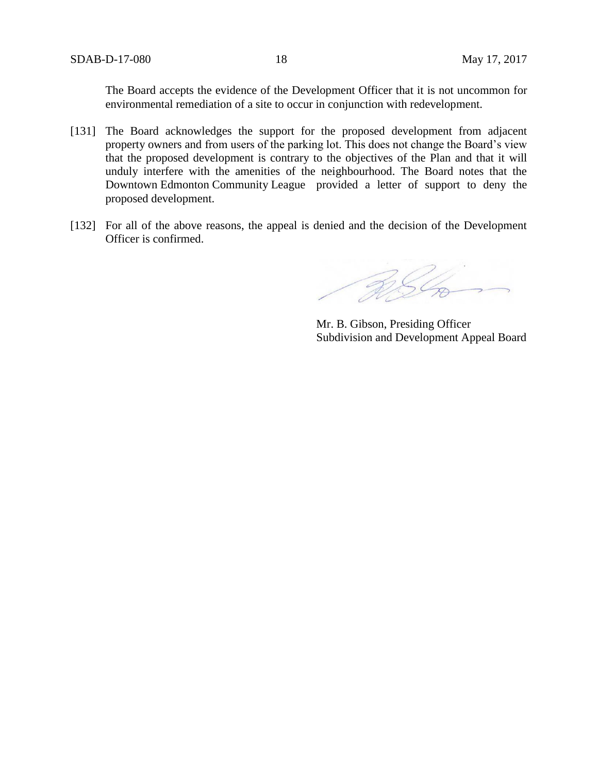SDAB-D-17-080 18 May 17, 2017

The Board accepts the evidence of the Development Officer that it is not uncommon for environmental remediation of a site to occur in conjunction with redevelopment.

- [131] The Board acknowledges the support for the proposed development from adjacent property owners and from users of the parking lot. This does not change the Board's view that the proposed development is contrary to the objectives of the Plan and that it will unduly interfere with the amenities of the neighbourhood. The Board notes that the Downtown Edmonton Community League provided a letter of support to deny the proposed development.
- [132] For all of the above reasons, the appeal is denied and the decision of the Development Officer is confirmed.

BS Co

Mr. B. Gibson, Presiding Officer Subdivision and Development Appeal Board